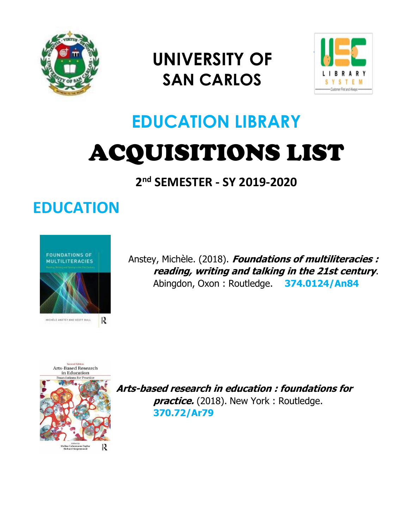

## **UNIVERSITY OF SAN CARLOS**



# **EDUCATION LIBRARY** ACQUISITIONS LIST

**2 nd SEMESTER - SY 2019-2020**

### **EDUCATION**



Anstey, Michèle. (2018). **Foundations of multiliteracies : reading, writing and talking in the 21st century**. Abingdon, Oxon : Routledge. **374.0124/An84**



**Arts-based research in education : foundations for**  *practice.* (2018). New York: Routledge. **370.72/Ar79**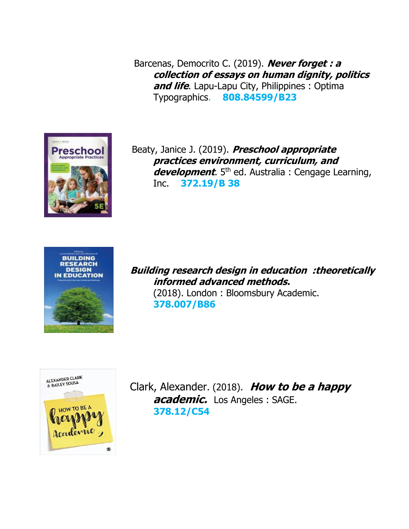Barcenas, Democrito C. (2019). **Never forget : a collection of essays on human dignity, politics and life**. Lapu-Lapu City, Philippines : Optima Typographics. **808.84599/B23**



 Beaty, Janice J. (2019). **Preschool appropriate practices environment, curriculum, and development**. 5<sup>th</sup> ed. Australia : Cengage Learning, Inc. **372.19/B 38**



**Building research design in education :theoretically informed advanced methods.** (2018). London : Bloomsbury Academic. **378.007/B86**



 Clark, Alexander. (2018). **How to be a happy academic.** Los Angeles : SAGE. **378.12/C54**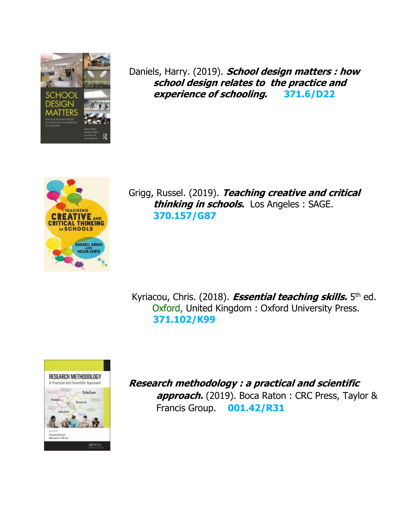

 Daniels, Harry. (2019). **School design matters : how school design relates to the practice and experience of schooling. 371.6/D22**



 Grigg, Russel. (2019). **Teaching creative and critical thinking in schools.** Los Angeles : SAGE. **370.157/G87**

Kyriacou, Chris. (2018). *Essential teaching skills.* 5<sup>th</sup> ed. Oxford, United Kingdom : Oxford University Press. **371.102/K99**



 **Research methodology : a practical and scientific approach.** (2019). Boca Raton : CRC Press, Taylor & Francis Group. **001.42/R31**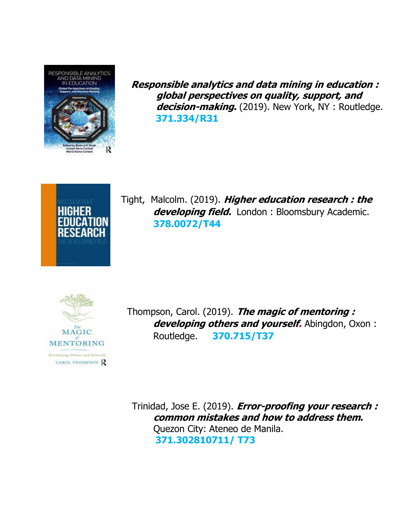

 **Responsible analytics and data mining in education : global perspectives on quality, support, and decision-making.** (2019). New York, NY : Routledge.  **371.334/R31**



Tight, Malcolm. (2019). **Higher education research : the**  developing field. London : Bloomsbury Academic. **378.0072/T44**



 Thompson, Carol. (2019). **The magic of mentoring :** developing others and yourself. Abingdon, Oxon: Routledge. **370.715/T37**

 Trinidad, Jose E. (2019). **Error-proofing your research : common mistakes and how to address them.**  Quezon City: Ateneo de Manila. **371.302810711/ T73**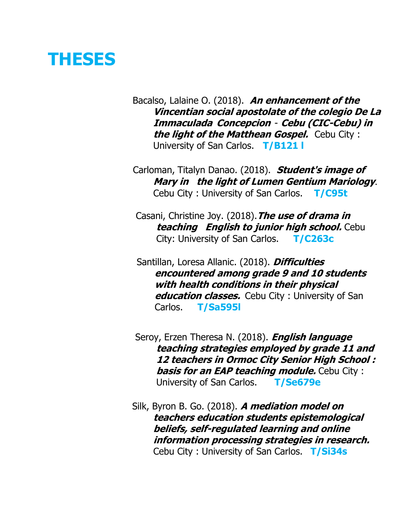### **THESES**

Bacalso, Lalaine O. (2018). **An enhancement of the Vincentian social apostolate of the colegio De La Immaculada Concepcion**- **Cebu (CIC-Cebu) in the light of the Matthean Gospel.** Cebu City : University of San Carlos. **T/B121 l**

Carloman, Titalyn Danao. (2018). **Student's image of Mary in the light of Lumen Gentium Mariology**. Cebu City : University of San Carlos. **T/C95t**

 Casani, Christine Joy. (2018).**The use of drama in teaching English to junior high school.** Cebu City: University of San Carlos. **T/C263c**

Santillan, Loresa Allanic. (2018). **Difficulties encountered among grade 9 and 10 students with health conditions in their physical education classes.** Cebu City : University of San Carlos. **T/Sa595l**

Seroy, Erzen Theresa N. (2018). **English language teaching strategies employed by grade 11 and 12 teachers in Ormoc City Senior High School :**  *basis for an EAP teaching module.* **Cebu City:** University of San Carlos. **T/Se679e**

Silk, Byron B. Go. (2018). **A mediation model on teachers education students epistemological beliefs, self-regulated learning and online information processing strategies in research.** Cebu City : University of San Carlos. **T/Si34s**